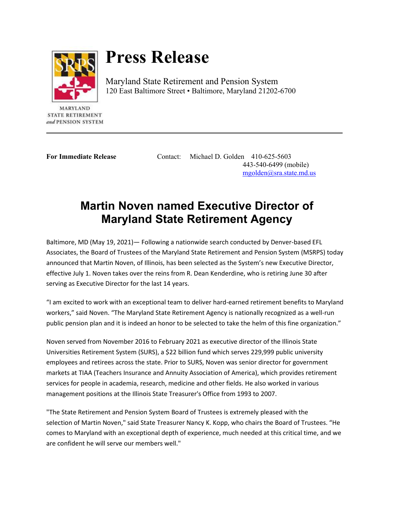

## **Press Release**

Maryland State Retirement and Pension System 120 East Baltimore Street • Baltimore, Maryland 21202-6700

**MARYLAND** STATE RETIREMENT and PENSION SYSTEM

**For Immediate Release** Contact: Michael D. Golden 410-625-5603 443-540-6499 (mobile) [mgolden@sra.state.md.us](mailto:mgolden@sra.state.md.us)

## **Martin Noven named Executive Director of Maryland State Retirement Agency**

Baltimore, MD (May 19, 2021)— Following a nationwide search conducted by Denver-based EFL Associates, the Board of Trustees of the Maryland State Retirement and Pension System (MSRPS) today announced that Martin Noven, of Illinois, has been selected as the System's new Executive Director, effective July 1. Noven takes over the reins from R. Dean Kenderdine, who is retiring June 30 after serving as Executive Director for the last 14 years.

"I am excited to work with an exceptional team to deliver hard-earned retirement benefits to Maryland workers," said Noven. "The Maryland State Retirement Agency is nationally recognized as a well-run public pension plan and it is indeed an honor to be selected to take the helm of this fine organization."

Noven served from November 2016 to February 2021 as executive director of the Illinois State Universities Retirement System (SURS), a \$22 billion fund which serves 229,999 public university employees and retirees across the state. Prior to SURS, Noven was senior director for government markets at TIAA (Teachers Insurance and Annuity Association of America), which provides retirement services for people in academia, research, medicine and other fields. He also worked in various management positions at the Illinois State Treasurer's Office from 1993 to 2007.

"The State Retirement and Pension System Board of Trustees is extremely pleased with the selection of Martin Noven," said State Treasurer Nancy K. Kopp, who chairs the Board of Trustees. "He comes to Maryland with an exceptional depth of experience, much needed at this critical time, and we are confident he will serve our members well."